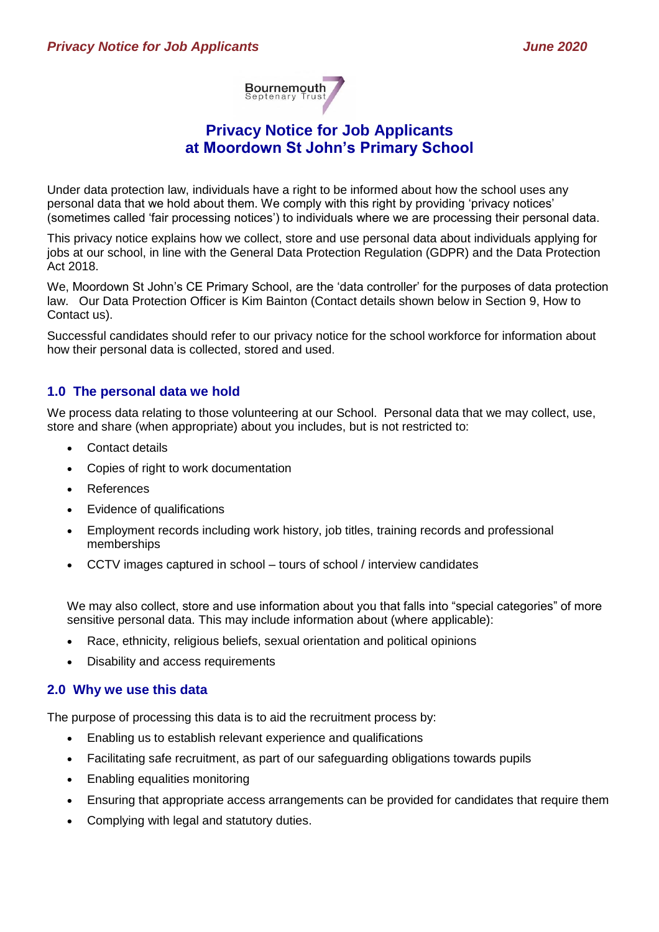

# **Privacy Notice for Job Applicants at Moordown St John's Primary School**

Under data protection law, individuals have a right to be informed about how the school uses any personal data that we hold about them. We comply with this right by providing 'privacy notices' (sometimes called 'fair processing notices') to individuals where we are processing their personal data.

This privacy notice explains how we collect, store and use personal data about individuals applying for jobs at our school, in line with the General Data Protection Regulation (GDPR) and the Data Protection Act 2018.

We, Moordown St John's CE Primary School, are the 'data controller' for the purposes of data protection law. Our Data Protection Officer is Kim Bainton (Contact details shown below in Section 9, How to Contact us).

Successful candidates should refer to our privacy notice for the school workforce for information about how their personal data is collected, stored and used.

## **1.0 The personal data we hold**

We process data relating to those volunteering at our School. Personal data that we may collect, use, store and share (when appropriate) about you includes, but is not restricted to:

- Contact details
- Copies of right to work documentation
- References
- Evidence of qualifications
- Employment records including work history, job titles, training records and professional memberships
- CCTV images captured in school tours of school / interview candidates

We may also collect, store and use information about you that falls into "special categories" of more sensitive personal data. This may include information about (where applicable):

- Race, ethnicity, religious beliefs, sexual orientation and political opinions
- Disability and access requirements

### **2.0 Why we use this data**

The purpose of processing this data is to aid the recruitment process by:

- Enabling us to establish relevant experience and qualifications
- Facilitating safe recruitment, as part of our safeguarding obligations towards pupils
- Enabling equalities monitoring
- Ensuring that appropriate access arrangements can be provided for candidates that require them
- Complying with legal and statutory duties.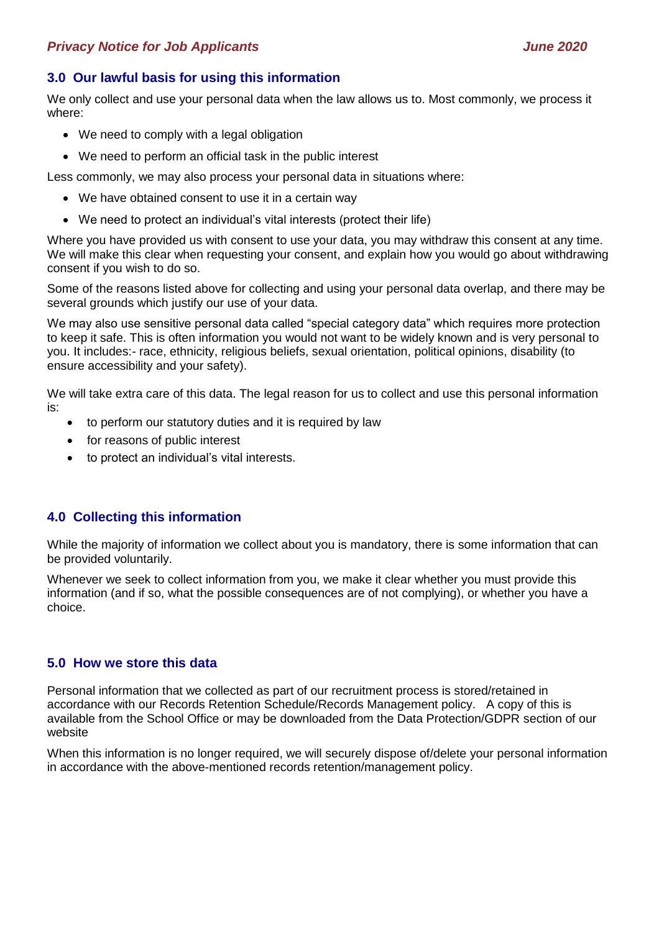### *Privacy Notice for Job Applicants June 2020*

## **3.0 Our lawful basis for using this information**

We only collect and use your personal data when the law allows us to. Most commonly, we process it where:

- We need to comply with a legal obligation
- We need to perform an official task in the public interest

Less commonly, we may also process your personal data in situations where:

- We have obtained consent to use it in a certain way
- We need to protect an individual's vital interests (protect their life)

Where you have provided us with consent to use your data, you may withdraw this consent at any time. We will make this clear when requesting your consent, and explain how you would go about withdrawing consent if you wish to do so.

Some of the reasons listed above for collecting and using your personal data overlap, and there may be several grounds which justify our use of your data.

We may also use sensitive personal data called "special category data" which requires more protection to keep it safe. This is often information you would not want to be widely known and is very personal to you. It includes:- race, ethnicity, religious beliefs, sexual orientation, political opinions, disability (to ensure accessibility and your safety).

We will take extra care of this data. The legal reason for us to collect and use this personal information is:

- to perform our statutory duties and it is required by law
- for reasons of public interest
- to protect an individual's vital interests.

### **4.0 Collecting this information**

While the majority of information we collect about you is mandatory, there is some information that can be provided voluntarily.

Whenever we seek to collect information from you, we make it clear whether you must provide this information (and if so, what the possible consequences are of not complying), or whether you have a choice.

#### **5.0 How we store this data**

Personal information that we collected as part of our recruitment process is stored/retained in accordance with our Records Retention Schedule/Records Management policy. A copy of this is available from the School Office or may be downloaded from the Data Protection/GDPR section of our website

When this information is no longer required, we will securely dispose of/delete your personal information in accordance with the above-mentioned records retention/management policy.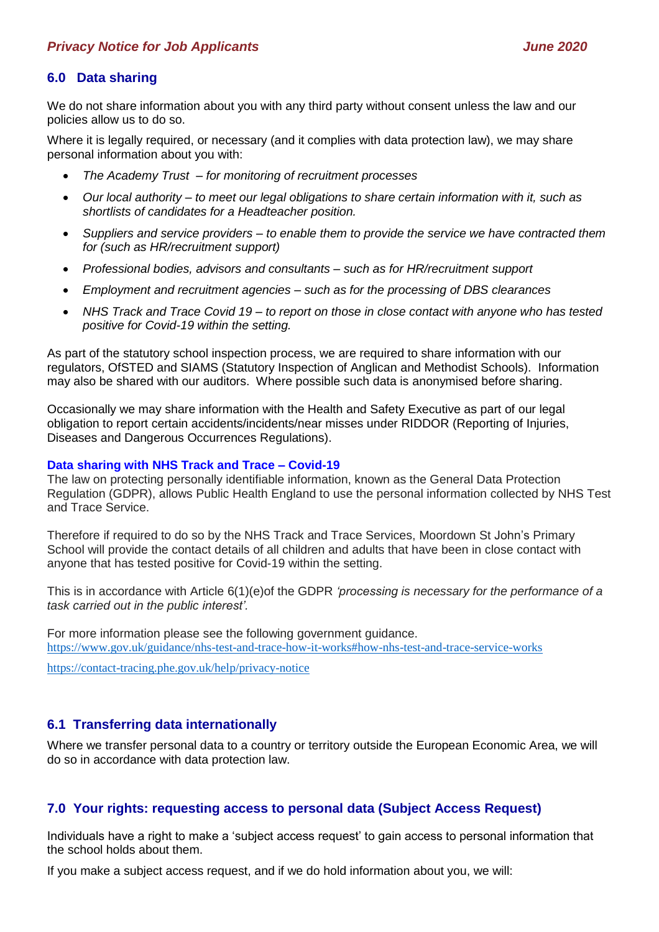### **6.0 Data sharing**

We do not share information about you with any third party without consent unless the law and our policies allow us to do so.

Where it is legally required, or necessary (and it complies with data protection law), we may share personal information about you with:

- *The Academy Trust – for monitoring of recruitment processes*
- *Our local authority – to meet our legal obligations to share certain information with it, such as shortlists of candidates for a Headteacher position.*
- *Suppliers and service providers – to enable them to provide the service we have contracted them for (such as HR/recruitment support)*
- *Professional bodies, advisors and consultants – such as for HR/recruitment support*
- *Employment and recruitment agencies – such as for the processing of DBS clearances*
- *NHS Track and Trace Covid 19 – to report on those in close contact with anyone who has tested positive for Covid-19 within the setting.*

As part of the statutory school inspection process, we are required to share information with our regulators, OfSTED and SIAMS (Statutory Inspection of Anglican and Methodist Schools). Information may also be shared with our auditors. Where possible such data is anonymised before sharing.

Occasionally we may share information with the Health and Safety Executive as part of our legal obligation to report certain accidents/incidents/near misses under RIDDOR (Reporting of Injuries, Diseases and Dangerous Occurrences Regulations).

#### **Data sharing with NHS Track and Trace – Covid-19**

The law on protecting personally identifiable information, known as the General Data Protection Regulation (GDPR), allows Public Health England to use the personal information collected by NHS Test and Trace Service.

Therefore if required to do so by the NHS Track and Trace Services, Moordown St John's Primary School will provide the contact details of all children and adults that have been in close contact with anyone that has tested positive for Covid-19 within the setting.

This is in accordance with Article 6(1)(e)of the GDPR *'processing is necessary for the performance of a task carried out in the public interest'.*

For more information please see the following government guidance. <https://www.gov.uk/guidance/nhs-test-and-trace-how-it-works#how-nhs-test-and-trace-service-works>

<https://contact-tracing.phe.gov.uk/help/privacy-notice>

### **6.1 Transferring data internationally**

Where we transfer personal data to a country or territory outside the European Economic Area, we will do so in accordance with data protection law.

### **7.0 Your rights: requesting access to personal data (Subject Access Request)**

Individuals have a right to make a 'subject access request' to gain access to personal information that the school holds about them.

If you make a subject access request, and if we do hold information about you, we will: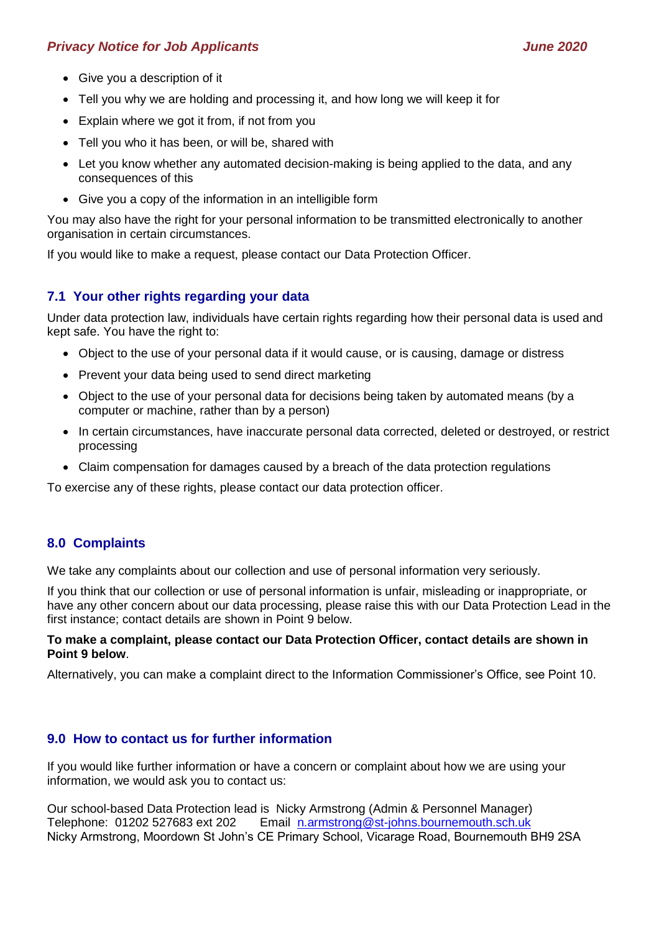## *Privacy Notice for Job Applicants June 2020*

- Give you a description of it
- Tell you why we are holding and processing it, and how long we will keep it for
- Explain where we got it from, if not from you
- Tell you who it has been, or will be, shared with
- Let you know whether any automated decision-making is being applied to the data, and any consequences of this
- Give you a copy of the information in an intelligible form

You may also have the right for your personal information to be transmitted electronically to another organisation in certain circumstances.

If you would like to make a request, please contact our Data Protection Officer.

## **7.1 Your other rights regarding your data**

Under data protection law, individuals have certain rights regarding how their personal data is used and kept safe. You have the right to:

- Object to the use of your personal data if it would cause, or is causing, damage or distress
- Prevent your data being used to send direct marketing
- Object to the use of your personal data for decisions being taken by automated means (by a computer or machine, rather than by a person)
- In certain circumstances, have inaccurate personal data corrected, deleted or destroyed, or restrict processing
- Claim compensation for damages caused by a breach of the data protection regulations

To exercise any of these rights, please contact our data protection officer.

### **8.0 Complaints**

We take any complaints about our collection and use of personal information very seriously.

If you think that our collection or use of personal information is unfair, misleading or inappropriate, or have any other concern about our data processing, please raise this with our Data Protection Lead in the first instance; contact details are shown in Point 9 below.

#### **To make a complaint, please contact our Data Protection Officer, contact details are shown in Point 9 below**.

Alternatively, you can make a complaint direct to the Information Commissioner's Office, see Point 10.

### **9.0 How to contact us for further information**

If you would like further information or have a concern or complaint about how we are using your information, we would ask you to contact us:

Our school-based Data Protection lead is Nicky Armstrong (Admin & Personnel Manager) Telephone: 01202 527683 ext 202 Email [n.armstrong@st-johns.bournemouth.sch.uk](mailto:n.armstrong@st-johns.bournemouth.sch.uk) Nicky Armstrong, Moordown St John's CE Primary School, Vicarage Road, Bournemouth BH9 2SA